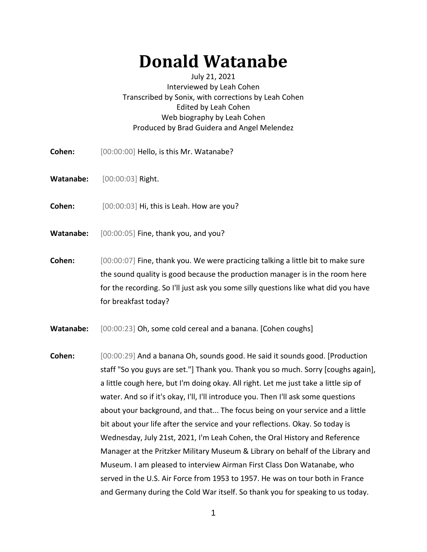## **Donald Watanabe**

## July 21, 2021 Interviewed by Leah Cohen Transcribed by Sonix, with corrections by Leah Cohen Edited by Leah Cohen Web biography by Leah Cohen Produced by Brad Guidera and Angel Melendez

- **Cohen:** [00:00:00] Hello, is this Mr. Watanabe?
- **Watanabe:** [00:00:03] Right.
- **Cohen:** [00:00:03] Hi, this is Leah. How are you?
- **Watanabe:** [00:00:05] Fine, thank you, and you?
- **Cohen:** [00:00:07] Fine, thank you. We were practicing talking a little bit to make sure the sound quality is good because the production manager is in the room here for the recording. So I'll just ask you some silly questions like what did you have for breakfast today?
- Watanabe: [00:00:23] Oh, some cold cereal and a banana. [Cohen coughs]
- **Cohen:** [00:00:29] And a banana Oh, sounds good. He said it sounds good. [Production staff "So you guys are set."] Thank you. Thank you so much. Sorry [coughs again], a little cough here, but I'm doing okay. All right. Let me just take a little sip of water. And so if it's okay, I'll, I'll introduce you. Then I'll ask some questions about your background, and that... The focus being on your service and a little bit about your life after the service and your reflections. Okay. So today is Wednesday, July 21st, 2021, I'm Leah Cohen, the Oral History and Reference Manager at the Pritzker Military Museum & Library on behalf of the Library and Museum. I am pleased to interview Airman First Class Don Watanabe, who served in the U.S. Air Force from 1953 to 1957. He was on tour both in France and Germany during the Cold War itself. So thank you for speaking to us today.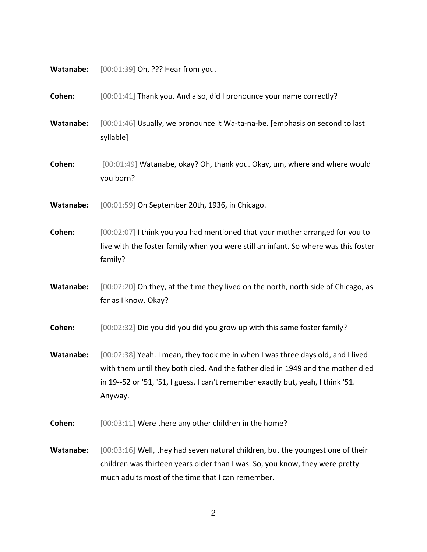**Watanabe:** [00:01:39] Oh, ??? Hear from you.

**Cohen:** [00:01:41] Thank you. And also, did I pronounce your name correctly?

**Watanabe:** [00:01:46] Usually, we pronounce it Wa-ta-na-be. [emphasis on second to last syllable]

**Cohen:** [00:01:49] Watanabe, okay? Oh, thank you. Okay, um, where and where would you born?

**Watanabe:** [00:01:59] On September 20th, 1936, in Chicago.

**Cohen:** [00:02:07] I think you you had mentioned that your mother arranged for you to live with the foster family when you were still an infant. So where was this foster family?

Watanabe: [00:02:20] Oh they, at the time they lived on the north, north side of Chicago, as far as I know. Okay?

**Cohen:** [00:02:32] Did you did you did you grow up with this same foster family?

**Watanabe:** [00:02:38] Yeah. I mean, they took me in when I was three days old, and I lived with them until they both died. And the father died in 1949 and the mother died in 19--52 or '51, '51, I guess. I can't remember exactly but, yeah, I think '51. Anyway.

**Cohen:** [00:03:11] Were there any other children in the home?

**Watanabe:** [00:03:16] Well, they had seven natural children, but the youngest one of their children was thirteen years older than I was. So, you know, they were pretty much adults most of the time that I can remember.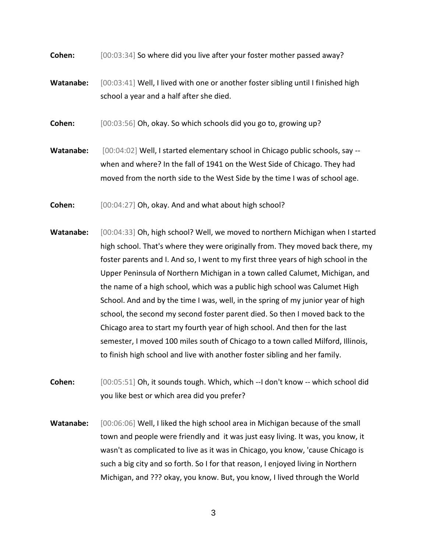**Cohen:** [00:03:34] So where did you live after your foster mother passed away?

**Watanabe:** [00:03:41] Well, I lived with one or another foster sibling until I finished high school a year and a half after she died.

**Cohen:** [00:03:56] Oh, okay. So which schools did you go to, growing up?

- **Watanabe:** [00:04:02] Well, I started elementary school in Chicago public schools, say when and where? In the fall of 1941 on the West Side of Chicago. They had moved from the north side to the West Side by the time I was of school age.
- **Cohen:** [00:04:27] Oh, okay. And and what about high school?
- **Watanabe:** [00:04:33] Oh, high school? Well, we moved to northern Michigan when I started high school. That's where they were originally from. They moved back there, my foster parents and I. And so, I went to my first three years of high school in the Upper Peninsula of Northern Michigan in a town called Calumet, Michigan, and the name of a high school, which was a public high school was Calumet High School. And and by the time I was, well, in the spring of my junior year of high school, the second my second foster parent died. So then I moved back to the Chicago area to start my fourth year of high school. And then for the last semester, I moved 100 miles south of Chicago to a town called Milford, Illinois, to finish high school and live with another foster sibling and her family.
- **Cohen:** [00:05:51] Oh, it sounds tough. Which, which --I don't know -- which school did you like best or which area did you prefer?
- **Watanabe:** [00:06:06] Well, I liked the high school area in Michigan because of the small town and people were friendly and it was just easy living. It was, you know, it wasn't as complicated to live as it was in Chicago, you know, 'cause Chicago is such a big city and so forth. So I for that reason, I enjoyed living in Northern Michigan, and ??? okay, you know. But, you know, I lived through the World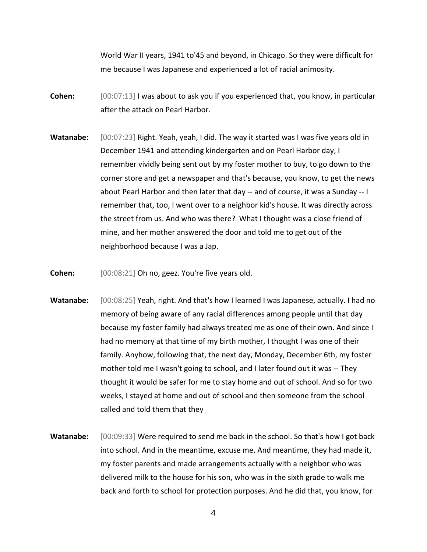World War II years, 1941 to'45 and beyond, in Chicago. So they were difficult for me because I was Japanese and experienced a lot of racial animosity.

- **Cohen:** [00:07:13] I was about to ask you if you experienced that, you know, in particular after the attack on Pearl Harbor.
- **Watanabe:** [00:07:23] Right. Yeah, yeah, I did. The way it started was I was five years old in December 1941 and attending kindergarten and on Pearl Harbor day, I remember vividly being sent out by my foster mother to buy, to go down to the corner store and get a newspaper and that's because, you know, to get the news about Pearl Harbor and then later that day -- and of course, it was a Sunday -- I remember that, too, I went over to a neighbor kid's house. It was directly across the street from us. And who was there? What I thought was a close friend of mine, and her mother answered the door and told me to get out of the neighborhood because I was a Jap.

**Cohen:** [00:08:21] Oh no, geez. You're five years old.

- **Watanabe:** [00:08:25] Yeah, right. And that's how I learned I was Japanese, actually. I had no memory of being aware of any racial differences among people until that day because my foster family had always treated me as one of their own. And since I had no memory at that time of my birth mother, I thought I was one of their family. Anyhow, following that, the next day, Monday, December 6th, my foster mother told me I wasn't going to school, and I later found out it was -- They thought it would be safer for me to stay home and out of school. And so for two weeks, I stayed at home and out of school and then someone from the school called and told them that they
- Watanabe: [00:09:33] Were required to send me back in the school. So that's how I got back into school. And in the meantime, excuse me. And meantime, they had made it, my foster parents and made arrangements actually with a neighbor who was delivered milk to the house for his son, who was in the sixth grade to walk me back and forth to school for protection purposes. And he did that, you know, for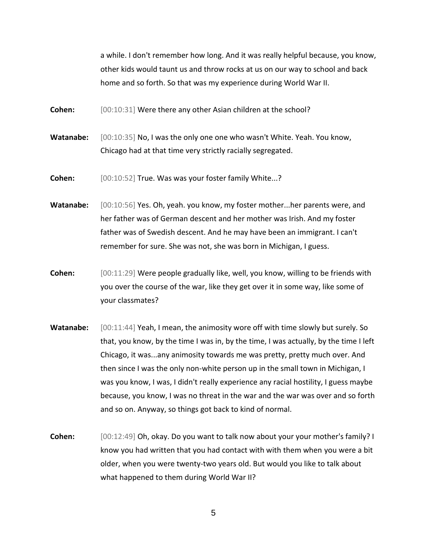a while. I don't remember how long. And it was really helpful because, you know, other kids would taunt us and throw rocks at us on our way to school and back home and so forth. So that was my experience during World War II.

**Cohen:**  $[00:10:31]$  Were there any other Asian children at the school?

**Watanabe:** [00:10:35] No, I was the only one one who wasn't White. Yeah. You know, Chicago had at that time very strictly racially segregated.

**Cohen:** [00:10:52] True. Was was your foster family White...?

**Watanabe:** [00:10:56] Yes. Oh, yeah. you know, my foster mother...her parents were, and her father was of German descent and her mother was Irish. And my foster father was of Swedish descent. And he may have been an immigrant. I can't remember for sure. She was not, she was born in Michigan, I guess.

- **Cohen:** [00:11:29] Were people gradually like, well, you know, willing to be friends with you over the course of the war, like they get over it in some way, like some of your classmates?
- **Watanabe:** [00:11:44] Yeah, I mean, the animosity wore off with time slowly but surely. So that, you know, by the time I was in, by the time, I was actually, by the time I left Chicago, it was...any animosity towards me was pretty, pretty much over. And then since I was the only non-white person up in the small town in Michigan, I was you know, I was, I didn't really experience any racial hostility, I guess maybe because, you know, I was no threat in the war and the war was over and so forth and so on. Anyway, so things got back to kind of normal.
- **Cohen:** [00:12:49] Oh, okay. Do you want to talk now about your your mother's family? I know you had written that you had contact with with them when you were a bit older, when you were twenty-two years old. But would you like to talk about what happened to them during World War II?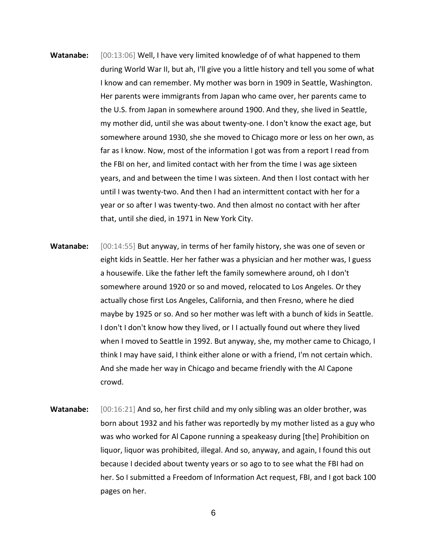- **Watanabe:** [00:13:06] Well, I have very limited knowledge of of what happened to them during World War II, but ah, I'll give you a little history and tell you some of what I know and can remember. My mother was born in 1909 in Seattle, Washington. Her parents were immigrants from Japan who came over, her parents came to the U.S. from Japan in somewhere around 1900. And they, she lived in Seattle, my mother did, until she was about twenty-one. I don't know the exact age, but somewhere around 1930, she she moved to Chicago more or less on her own, as far as I know. Now, most of the information I got was from a report I read from the FBI on her, and limited contact with her from the time I was age sixteen years, and and between the time I was sixteen. And then I lost contact with her until I was twenty-two. And then I had an intermittent contact with her for a year or so after I was twenty-two. And then almost no contact with her after that, until she died, in 1971 in New York City.
- **Watanabe:** [00:14:55] But anyway, in terms of her family history, she was one of seven or eight kids in Seattle. Her her father was a physician and her mother was, I guess a housewife. Like the father left the family somewhere around, oh I don't somewhere around 1920 or so and moved, relocated to Los Angeles. Or they actually chose first Los Angeles, California, and then Fresno, where he died maybe by 1925 or so. And so her mother was left with a bunch of kids in Seattle. I don't I don't know how they lived, or I I actually found out where they lived when I moved to Seattle in 1992. But anyway, she, my mother came to Chicago, I think I may have said, I think either alone or with a friend, I'm not certain which. And she made her way in Chicago and became friendly with the Al Capone crowd.
- **Watanabe:** [00:16:21] And so, her first child and my only sibling was an older brother, was born about 1932 and his father was reportedly by my mother listed as a guy who was who worked for Al Capone running a speakeasy during [the] Prohibition on liquor, liquor was prohibited, illegal. And so, anyway, and again, I found this out because I decided about twenty years or so ago to to see what the FBI had on her. So I submitted a Freedom of Information Act request, FBI, and I got back 100 pages on her.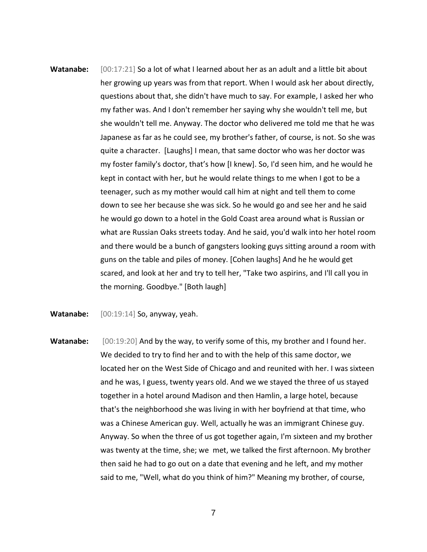- **Watanabe:** [00:17:21] So a lot of what I learned about her as an adult and a little bit about her growing up years was from that report. When I would ask her about directly, questions about that, she didn't have much to say. For example, I asked her who my father was. And I don't remember her saying why she wouldn't tell me, but she wouldn't tell me. Anyway. The doctor who delivered me told me that he was Japanese as far as he could see, my brother's father, of course, is not. So she was quite a character. [Laughs] I mean, that same doctor who was her doctor was my foster family's doctor, that's how [I knew]. So, I'd seen him, and he would he kept in contact with her, but he would relate things to me when I got to be a teenager, such as my mother would call him at night and tell them to come down to see her because she was sick. So he would go and see her and he said he would go down to a hotel in the Gold Coast area around what is Russian or what are Russian Oaks streets today. And he said, you'd walk into her hotel room and there would be a bunch of gangsters looking guys sitting around a room with guns on the table and piles of money. [Cohen laughs] And he he would get scared, and look at her and try to tell her, "Take two aspirins, and I'll call you in the morning. Goodbye." [Both laugh]
- **Watanabe:** [00:19:14] So, anyway, yeah.
- **Watanabe:** [00:19:20] And by the way, to verify some of this, my brother and I found her. We decided to try to find her and to with the help of this same doctor, we located her on the West Side of Chicago and and reunited with her. I was sixteen and he was, I guess, twenty years old. And we we stayed the three of us stayed together in a hotel around Madison and then Hamlin, a large hotel, because that's the neighborhood she was living in with her boyfriend at that time, who was a Chinese American guy. Well, actually he was an immigrant Chinese guy. Anyway. So when the three of us got together again, I'm sixteen and my brother was twenty at the time, she; we met, we talked the first afternoon. My brother then said he had to go out on a date that evening and he left, and my mother said to me, "Well, what do you think of him?" Meaning my brother, of course,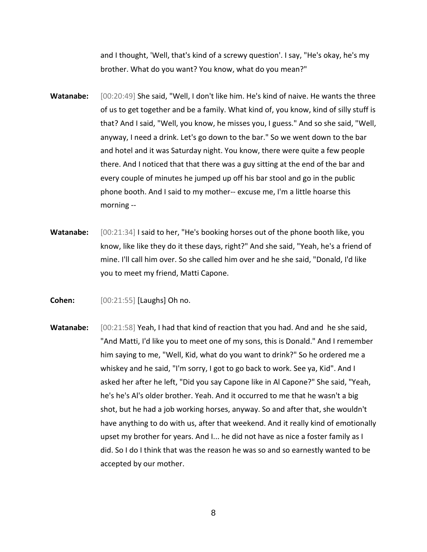and I thought, 'Well, that's kind of a screwy question'. I say, "He's okay, he's my brother. What do you want? You know, what do you mean?"

- **Watanabe:** [00:20:49] She said, "Well, I don't like him. He's kind of naive. He wants the three of us to get together and be a family. What kind of, you know, kind of silly stuff is that? And I said, "Well, you know, he misses you, I guess." And so she said, "Well, anyway, I need a drink. Let's go down to the bar." So we went down to the bar and hotel and it was Saturday night. You know, there were quite a few people there. And I noticed that that there was a guy sitting at the end of the bar and every couple of minutes he jumped up off his bar stool and go in the public phone booth. And I said to my mother-- excuse me, I'm a little hoarse this morning --
- **Watanabe:** [00:21:34] I said to her, "He's booking horses out of the phone booth like, you know, like like they do it these days, right?" And she said, "Yeah, he's a friend of mine. I'll call him over. So she called him over and he she said, "Donald, I'd like you to meet my friend, Matti Capone.
- **Cohen:** [00:21:55] [Laughs] Oh no.
- **Watanabe:** [00:21:58] Yeah, I had that kind of reaction that you had. And and he she said, "And Matti, I'd like you to meet one of my sons, this is Donald." And I remember him saying to me, "Well, Kid, what do you want to drink?" So he ordered me a whiskey and he said, "I'm sorry, I got to go back to work. See ya, Kid". And I asked her after he left, "Did you say Capone like in Al Capone?" She said, "Yeah, he's he's Al's older brother. Yeah. And it occurred to me that he wasn't a big shot, but he had a job working horses, anyway. So and after that, she wouldn't have anything to do with us, after that weekend. And it really kind of emotionally upset my brother for years. And I... he did not have as nice a foster family as I did. So I do I think that was the reason he was so and so earnestly wanted to be accepted by our mother.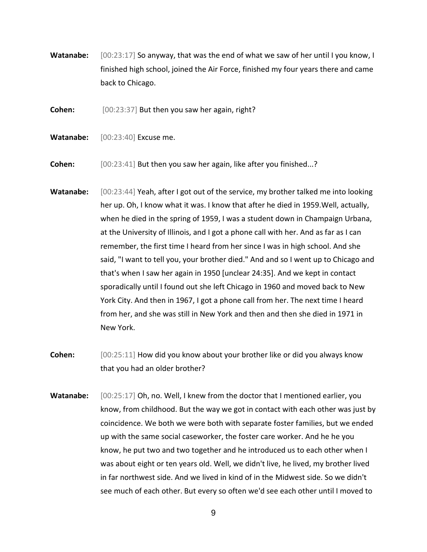**Watanabe:** [00:23:17] So anyway, that was the end of what we saw of her until I you know, I finished high school, joined the Air Force, finished my four years there and came back to Chicago.

**Cohen:** [00:23:37] But then you saw her again, right?

**Watanabe:** [00:23:40] Excuse me.

**Cohen:** [00:23:41] But then you saw her again, like after you finished...?

- Watanabe: [00:23:44] Yeah, after I got out of the service, my brother talked me into looking her up. Oh, I know what it was. I know that after he died in 1959.Well, actually, when he died in the spring of 1959, I was a student down in Champaign Urbana, at the University of Illinois, and I got a phone call with her. And as far as I can remember, the first time I heard from her since I was in high school. And she said, "I want to tell you, your brother died." And and so I went up to Chicago and that's when I saw her again in 1950 [unclear 24:35]. And we kept in contact sporadically until I found out she left Chicago in 1960 and moved back to New York City. And then in 1967, I got a phone call from her. The next time I heard from her, and she was still in New York and then and then she died in 1971 in New York.
- **Cohen:** [00:25:11] How did you know about your brother like or did you always know that you had an older brother?
- **Watanabe:** [00:25:17] Oh, no. Well, I knew from the doctor that I mentioned earlier, you know, from childhood. But the way we got in contact with each other was just by coincidence. We both we were both with separate foster families, but we ended up with the same social caseworker, the foster care worker. And he he you know, he put two and two together and he introduced us to each other when I was about eight or ten years old. Well, we didn't live, he lived, my brother lived in far northwest side. And we lived in kind of in the Midwest side. So we didn't see much of each other. But every so often we'd see each other until I moved to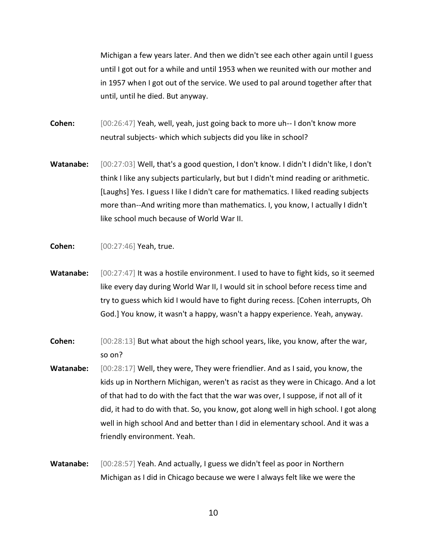Michigan a few years later. And then we didn't see each other again until I guess until I got out for a while and until 1953 when we reunited with our mother and in 1957 when I got out of the service. We used to pal around together after that until, until he died. But anyway.

**Cohen:** [00:26:47] Yeah, well, yeah, just going back to more uh-- I don't know more neutral subjects- which which subjects did you like in school?

Watanabe: [00:27:03] Well, that's a good question, I don't know. I didn't I didn't like, I don't think I like any subjects particularly, but but I didn't mind reading or arithmetic. [Laughs] Yes. I guess I like I didn't care for mathematics. I liked reading subjects more than--And writing more than mathematics. I, you know, I actually I didn't like school much because of World War II.

**Cohen:** [00:27:46] Yeah, true.

- Watanabe:  $[00:27:47]$  It was a hostile environment. I used to have to fight kids, so it seemed like every day during World War II, I would sit in school before recess time and try to guess which kid I would have to fight during recess. [Cohen interrupts, Oh God.] You know, it wasn't a happy, wasn't a happy experience. Yeah, anyway.
- **Cohen:** [00:28:13] But what about the high school years, like, you know, after the war, so on?
- **Watanabe:** [00:28:17] Well, they were, They were friendlier. And as I said, you know, the kids up in Northern Michigan, weren't as racist as they were in Chicago. And a lot of that had to do with the fact that the war was over, I suppose, if not all of it did, it had to do with that. So, you know, got along well in high school. I got along well in high school And and better than I did in elementary school. And it was a friendly environment. Yeah.
- **Watanabe:** [00:28:57] Yeah. And actually, I guess we didn't feel as poor in Northern Michigan as I did in Chicago because we were I always felt like we were the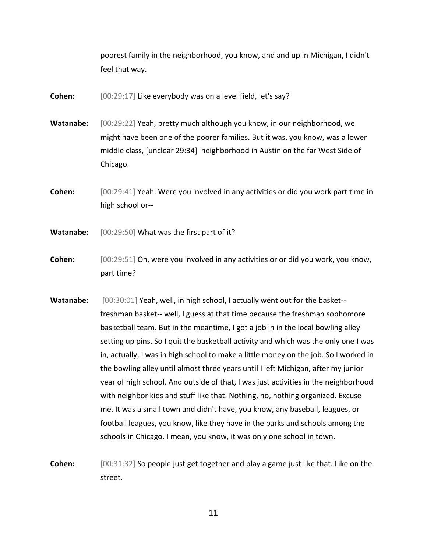poorest family in the neighborhood, you know, and and up in Michigan, I didn't feel that way.

**Cohen:** [00:29:17] Like everybody was on a level field, let's say?

**Watanabe:** [00:29:22] Yeah, pretty much although you know, in our neighborhood, we might have been one of the poorer families. But it was, you know, was a lower middle class, [unclear 29:34] neighborhood in Austin on the far West Side of Chicago.

**Cohen:** [00:29:41] Yeah. Were you involved in any activities or did you work part time in high school or--

**Watanabe:** [00:29:50] What was the first part of it?

**Cohen:** [00:29:51] Oh, were you involved in any activities or or did you work, you know, part time?

**Watanabe:** [00:30:01] Yeah, well, in high school, I actually went out for the basket- freshman basket-- well, I guess at that time because the freshman sophomore basketball team. But in the meantime, I got a job in in the local bowling alley setting up pins. So I quit the basketball activity and which was the only one I was in, actually, I was in high school to make a little money on the job. So I worked in the bowling alley until almost three years until I left Michigan, after my junior year of high school. And outside of that, I was just activities in the neighborhood with neighbor kids and stuff like that. Nothing, no, nothing organized. Excuse me. It was a small town and didn't have, you know, any baseball, leagues, or football leagues, you know, like they have in the parks and schools among the schools in Chicago. I mean, you know, it was only one school in town.

**Cohen:** [00:31:32] So people just get together and play a game just like that. Like on the street.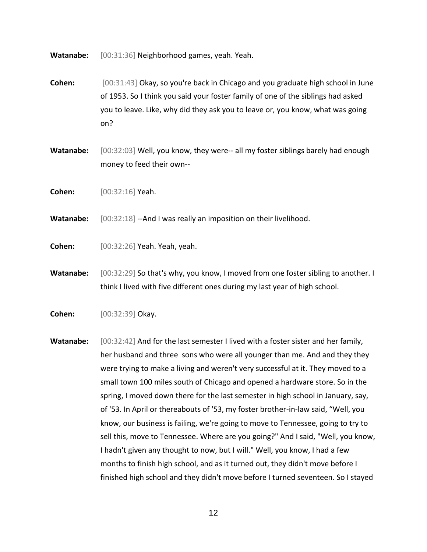**Watanabe:** [00:31:36] Neighborhood games, yeah. Yeah.

- **Cohen:** [00:31:43] Okay, so you're back in Chicago and you graduate high school in June of 1953. So I think you said your foster family of one of the siblings had asked you to leave. Like, why did they ask you to leave or, you know, what was going on?
- **Watanabe:** [00:32:03] Well, you know, they were-- all my foster siblings barely had enough money to feed their own--
- **Cohen:** [00:32:16] Yeah.

**Watanabe:** [00:32:18] --And I was really an imposition on their livelihood.

**Cohen:** [00:32:26] Yeah. Yeah, yeah.

**Watanabe:** [00:32:29] So that's why, you know, I moved from one foster sibling to another. I think I lived with five different ones during my last year of high school.

**Cohen:** [00:32:39] Okay.

**Watanabe:** [00:32:42] And for the last semester I lived with a foster sister and her family, her husband and three sons who were all younger than me. And and they they were trying to make a living and weren't very successful at it. They moved to a small town 100 miles south of Chicago and opened a hardware store. So in the spring, I moved down there for the last semester in high school in January, say, of '53. In April or thereabouts of '53, my foster brother-in-law said, "Well, you know, our business is failing, we're going to move to Tennessee, going to try to sell this, move to Tennessee. Where are you going?" And I said, "Well, you know, I hadn't given any thought to now, but I will." Well, you know, I had a few months to finish high school, and as it turned out, they didn't move before I finished high school and they didn't move before I turned seventeen. So I stayed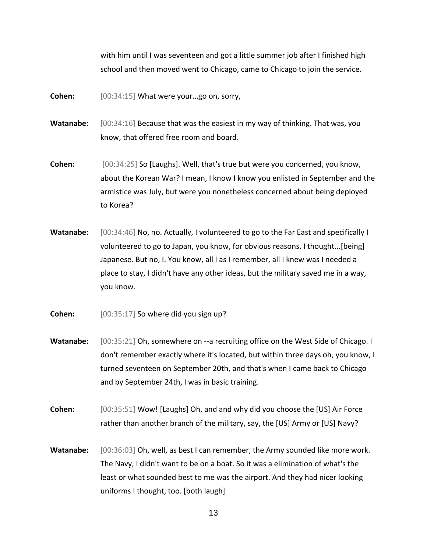with him until I was seventeen and got a little summer job after I finished high school and then moved went to Chicago, came to Chicago to join the service.

**Cohen:** [00:34:15] What were your…go on, sorry,

- **Watanabe:** [00:34:16] Because that was the easiest in my way of thinking. That was, you know, that offered free room and board.
- **Cohen:** [00:34:25] So [Laughs]. Well, that's true but were you concerned, you know, about the Korean War? I mean, I know I know you enlisted in September and the armistice was July, but were you nonetheless concerned about being deployed to Korea?
- **Watanabe:** [00:34:46] No, no. Actually, I volunteered to go to the Far East and specifically I volunteered to go to Japan, you know, for obvious reasons. I thought...[being] Japanese. But no, I. You know, all I as I remember, all I knew was I needed a place to stay, I didn't have any other ideas, but the military saved me in a way, you know.
- **Cohen:** [00:35:17] So where did you sign up?
- Watanabe: [00:35:21] Oh, somewhere on --a recruiting office on the West Side of Chicago. I don't remember exactly where it's located, but within three days oh, you know, I turned seventeen on September 20th, and that's when I came back to Chicago and by September 24th, I was in basic training.
- **Cohen:** [00:35:51] Wow! [Laughs] Oh, and and why did you choose the [US] Air Force rather than another branch of the military, say, the [US] Army or [US] Navy?
- **Watanabe:** [00:36:03] Oh, well, as best I can remember, the Army sounded like more work. The Navy, I didn't want to be on a boat. So it was a elimination of what's the least or what sounded best to me was the airport. And they had nicer looking uniforms I thought, too. [both laugh]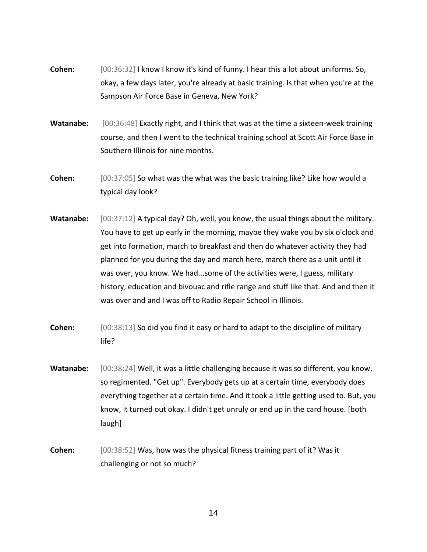- **Cohen:** [00:36:32] I know I know it's kind of funny. I hear this a lot about uniforms. So, okay, a few days later, you're already at basic training. Is that when you're at the Sampson Air Force Base in Geneva, New York?
- Watanabe: [00:36:48] Exactly right, and I think that was at the time a sixteen-week training course, and then I went to the technical training school at Scott Air Force Base in Southern Illinois for nine months.
- **Cohen:** [00:37:05] So what was the what was the basic training like? Like how would a typical day look?
- **Watanabe:** [00:37:12] A typical day? Oh, well, you know, the usual things about the military. You have to get up early in the morning, maybe they wake you by six o'clock and get into formation, march to breakfast and then do whatever activity they had planned for you during the day and march here, march there as a unit until it was over, you know. We had...some of the activities were, I guess, military history, education and bivouac and rifle range and stuff like that. And and then it was over and and I was off to Radio Repair School in Illinois.
- **Cohen:** [00:38:13] So did you find it easy or hard to adapt to the discipline of military life?
- Watanabe: [00:38:24] Well, it was a little challenging because it was so different, you know, so regimented. "Get up". Everybody gets up at a certain time, everybody does everything together at a certain time. And it took a little getting used to. But, you know, it turned out okay. I didn't get unruly or end up in the card house. [both laugh]
- **Cohen:** [00:38:52] Was, how was the physical fitness training part of it? Was it challenging or not so much?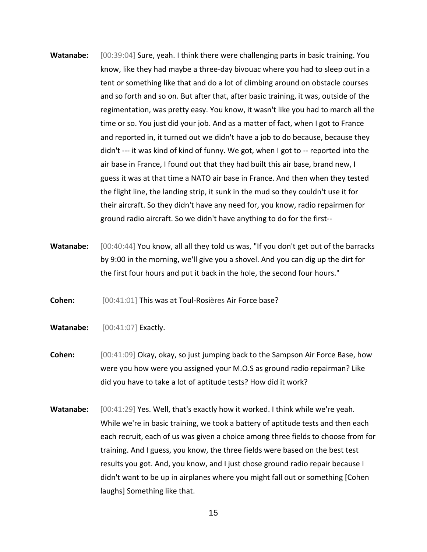- **Watanabe:** [00:39:04] Sure, yeah. I think there were challenging parts in basic training. You know, like they had maybe a three-day bivouac where you had to sleep out in a tent or something like that and do a lot of climbing around on obstacle courses and so forth and so on. But after that, after basic training, it was, outside of the regimentation, was pretty easy. You know, it wasn't like you had to march all the time or so. You just did your job. And as a matter of fact, when I got to France and reported in, it turned out we didn't have a job to do because, because they didn't --- it was kind of kind of funny. We got, when I got to -- reported into the air base in France, I found out that they had built this air base, brand new, I guess it was at that time a NATO air base in France. And then when they tested the flight line, the landing strip, it sunk in the mud so they couldn't use it for their aircraft. So they didn't have any need for, you know, radio repairmen for ground radio aircraft. So we didn't have anything to do for the first--
- **Watanabe:** [00:40:44] You know, all all they told us was, "If you don't get out of the barracks by 9:00 in the morning, we'll give you a shovel. And you can dig up the dirt for the first four hours and put it back in the hole, the second four hours."

**Cohen:** [00:41:01] This was at Toul-Rosières Air Force base?

- **Watanabe:** [00:41:07] Exactly.
- **Cohen:** [00:41:09] Okay, okay, so just jumping back to the Sampson Air Force Base, how were you how were you assigned your M.O.S as ground radio repairman? Like did you have to take a lot of aptitude tests? How did it work?
- **Watanabe:** [00:41:29] Yes. Well, that's exactly how it worked. I think while we're yeah. While we're in basic training, we took a battery of aptitude tests and then each each recruit, each of us was given a choice among three fields to choose from for training. And I guess, you know, the three fields were based on the best test results you got. And, you know, and I just chose ground radio repair because I didn't want to be up in airplanes where you might fall out or something [Cohen laughs] Something like that.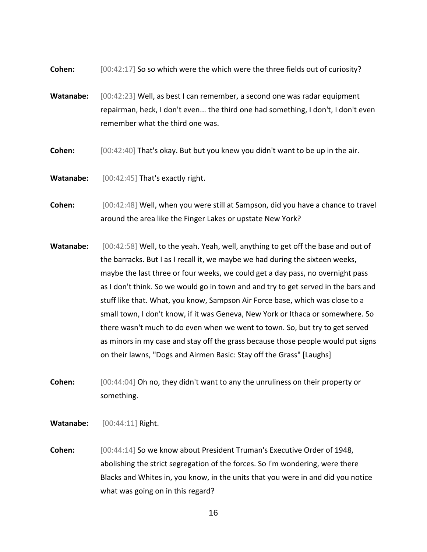**Cohen:**  $[00:42:17]$  So so which were the which were the three fields out of curiosity?

- **Watanabe:** [00:42:23] Well, as best I can remember, a second one was radar equipment repairman, heck, I don't even... the third one had something, I don't, I don't even remember what the third one was.
- **Cohen:** [00:42:40] That's okay. But but you knew you didn't want to be up in the air.
- **Watanabe:** [00:42:45] That's exactly right.
- **Cohen:** [00:42:48] Well, when you were still at Sampson, did you have a chance to travel around the area like the Finger Lakes or upstate New York?
- **Watanabe:** [00:42:58] Well, to the yeah. Yeah, well, anything to get off the base and out of the barracks. But I as I recall it, we maybe we had during the sixteen weeks, maybe the last three or four weeks, we could get a day pass, no overnight pass as I don't think. So we would go in town and and try to get served in the bars and stuff like that. What, you know, Sampson Air Force base, which was close to a small town, I don't know, if it was Geneva, New York or Ithaca or somewhere. So there wasn't much to do even when we went to town. So, but try to get served as minors in my case and stay off the grass because those people would put signs on their lawns, "Dogs and Airmen Basic: Stay off the Grass" [Laughs]
- **Cohen:** [00:44:04] Oh no, they didn't want to any the unruliness on their property or something.
- **Watanabe:** [00:44:11] Right.
- **Cohen:** [00:44:14] So we know about President Truman's Executive Order of 1948, abolishing the strict segregation of the forces. So I'm wondering, were there Blacks and Whites in, you know, in the units that you were in and did you notice what was going on in this regard?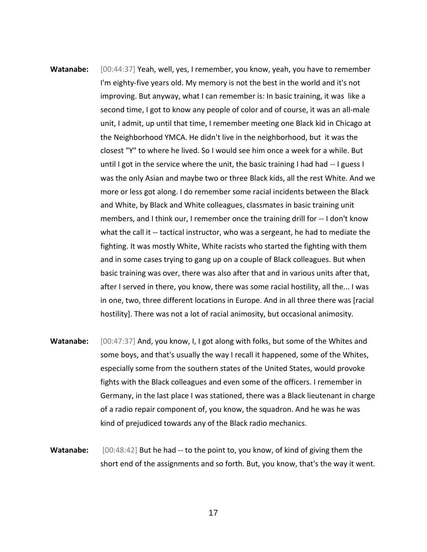- **Watanabe:** [00:44:37] Yeah, well, yes, I remember, you know, yeah, you have to remember I'm eighty-five years old. My memory is not the best in the world and it's not improving. But anyway, what I can remember is: In basic training, it was like a second time, I got to know any people of color and of course, it was an all-male unit, I admit, up until that time, I remember meeting one Black kid in Chicago at the Neighborhood YMCA. He didn't live in the neighborhood, but it was the closest "Y" to where he lived. So I would see him once a week for a while. But until I got in the service where the unit, the basic training I had had -- I guess I was the only Asian and maybe two or three Black kids, all the rest White. And we more or less got along. I do remember some racial incidents between the Black and White, by Black and White colleagues, classmates in basic training unit members, and I think our, I remember once the training drill for -- I don't know what the call it -- tactical instructor, who was a sergeant, he had to mediate the fighting. It was mostly White, White racists who started the fighting with them and in some cases trying to gang up on a couple of Black colleagues. But when basic training was over, there was also after that and in various units after that, after I served in there, you know, there was some racial hostility, all the... I was in one, two, three different locations in Europe. And in all three there was [racial hostility]. There was not a lot of racial animosity, but occasional animosity.
- **Watanabe:** [00:47:37] And, you know, I, I got along with folks, but some of the Whites and some boys, and that's usually the way I recall it happened, some of the Whites, especially some from the southern states of the United States, would provoke fights with the Black colleagues and even some of the officers. I remember in Germany, in the last place I was stationed, there was a Black lieutenant in charge of a radio repair component of, you know, the squadron. And he was he was kind of prejudiced towards any of the Black radio mechanics.
- **Watanabe:** [00:48:42] But he had -- to the point to, you know, of kind of giving them the short end of the assignments and so forth. But, you know, that's the way it went.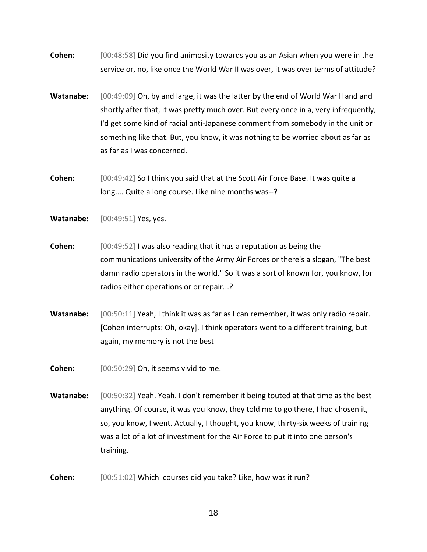**Cohen:** [00:48:58] Did you find animosity towards you as an Asian when you were in the service or, no, like once the World War II was over, it was over terms of attitude?

- **Watanabe:** [00:49:09] Oh, by and large, it was the latter by the end of World War II and and shortly after that, it was pretty much over. But every once in a, very infrequently, I'd get some kind of racial anti-Japanese comment from somebody in the unit or something like that. But, you know, it was nothing to be worried about as far as as far as I was concerned.
- **Cohen:** [00:49:42] So I think you said that at the Scott Air Force Base. It was quite a long.... Quite a long course. Like nine months was--?
- **Watanabe:** [00:49:51] Yes, yes.
- **Cohen:** [00:49:52] I was also reading that it has a reputation as being the communications university of the Army Air Forces or there's a slogan, "The best damn radio operators in the world." So it was a sort of known for, you know, for radios either operations or or repair...?
- **Watanabe:** [00:50:11] Yeah, I think it was as far as I can remember, it was only radio repair. [Cohen interrupts: Oh, okay]. I think operators went to a different training, but again, my memory is not the best
- **Cohen:** [00:50:29] Oh, it seems vivid to me.
- **Watanabe:** [00:50:32] Yeah. Yeah. I don't remember it being touted at that time as the best anything. Of course, it was you know, they told me to go there, I had chosen it, so, you know, I went. Actually, I thought, you know, thirty-six weeks of training was a lot of a lot of investment for the Air Force to put it into one person's training.
- **Cohen:** [00:51:02] Which courses did you take? Like, how was it run?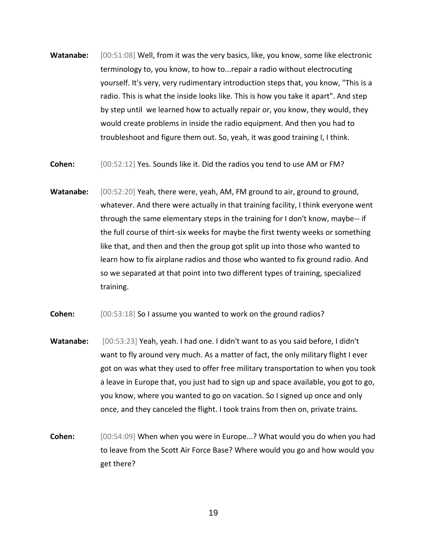- **Watanabe:** [00:51:08] Well, from it was the very basics, like, you know, some like electronic terminology to, you know, to how to...repair a radio without electrocuting yourself. It's very, very rudimentary introduction steps that, you know, "This is a radio. This is what the inside looks like. This is how you take it apart". And step by step until we learned how to actually repair or, you know, they would, they would create problems in inside the radio equipment. And then you had to troubleshoot and figure them out. So, yeah, it was good training I, I think.
- **Cohen:** [00:52:12] Yes. Sounds like it. Did the radios you tend to use AM or FM?
- Watanabe: [00:52:20] Yeah, there were, yeah, AM, FM ground to air, ground to ground, whatever. And there were actually in that training facility, I think everyone went through the same elementary steps in the training for I don't know, maybe-- if the full course of thirt-six weeks for maybe the first twenty weeks or something like that, and then and then the group got split up into those who wanted to learn how to fix airplane radios and those who wanted to fix ground radio. And so we separated at that point into two different types of training, specialized training.
- **Cohen:** [00:53:18] So I assume you wanted to work on the ground radios?
- **Watanabe:** [00:53:23] Yeah, yeah. I had one. I didn't want to as you said before, I didn't want to fly around very much. As a matter of fact, the only military flight I ever got on was what they used to offer free military transportation to when you took a leave in Europe that, you just had to sign up and space available, you got to go, you know, where you wanted to go on vacation. So I signed up once and only once, and they canceled the flight. I took trains from then on, private trains.
- **Cohen:** [00:54:09] When when you were in Europe...? What would you do when you had to leave from the Scott Air Force Base? Where would you go and how would you get there?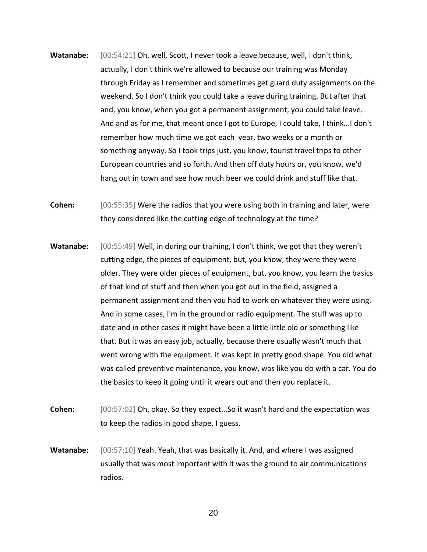- **Watanabe:** [00:54:21] Oh, well, Scott, I never took a leave because, well, I don't think, actually, I don't think we're allowed to because our training was Monday through Friday as I remember and sometimes get guard duty assignments on the weekend. So I don't think you could take a leave during training. But after that and, you know, when you got a permanent assignment, you could take leave. And and as for me, that meant once I got to Europe, I could take, I think...I don't remember how much time we got each year, two weeks or a month or something anyway. So I took trips just, you know, tourist travel trips to other European countries and so forth. And then off duty hours or, you know, we'd hang out in town and see how much beer we could drink and stuff like that.
- **Cohen:** [00:55:35] Were the radios that you were using both in training and later, were they considered like the cutting edge of technology at the time?
- **Watanabe:** [00:55:49] Well, in during our training, I don't think, we got that they weren't cutting edge, the pieces of equipment, but, you know, they were they were older. They were older pieces of equipment, but, you know, you learn the basics of that kind of stuff and then when you got out in the field, assigned a permanent assignment and then you had to work on whatever they were using. And in some cases, I'm in the ground or radio equipment. The stuff was up to date and in other cases it might have been a little little old or something like that. But it was an easy job, actually, because there usually wasn't much that went wrong with the equipment. It was kept in pretty good shape. You did what was called preventive maintenance, you know, was like you do with a car. You do the basics to keep it going until it wears out and then you replace it.
- **Cohen:** [00:57:02] Oh, okay. So they expect...So it wasn't hard and the expectation was to keep the radios in good shape, I guess.
- **Watanabe:** [00:57:10] Yeah. Yeah, that was basically it. And, and where I was assigned usually that was most important with it was the ground to air communications radios.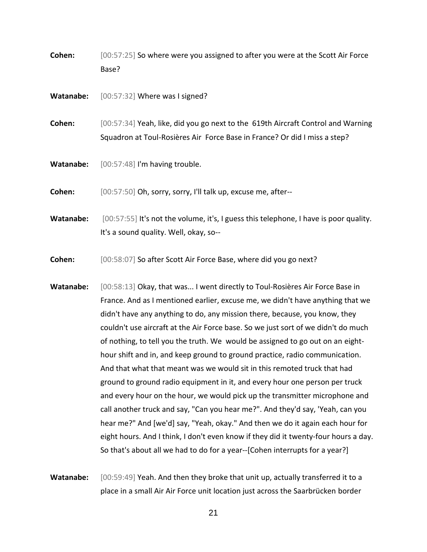**Cohen:** [00:57:25] So where were you assigned to after you were at the Scott Air Force Base?

**Watanabe:** [00:57:32] Where was I signed?

**Cohen:** [00:57:34] Yeah, like, did you go next to the 619th Aircraft Control and Warning Squadron at Toul-Rosières Air Force Base in France? Or did I miss a step?

**Watanabe:** [00:57:48] I'm having trouble.

**Cohen:** [00:57:50] Oh, sorry, sorry, I'll talk up, excuse me, after--

**Watanabe:** [00:57:55] It's not the volume, it's, I guess this telephone, I have is poor quality. It's a sound quality. Well, okay, so--

**Cohen:** [00:58:07] So after Scott Air Force Base, where did you go next?

**Watanabe:** [00:58:13] Okay, that was... I went directly to Toul-Rosières Air Force Base in France. And as I mentioned earlier, excuse me, we didn't have anything that we didn't have any anything to do, any mission there, because, you know, they couldn't use aircraft at the Air Force base. So we just sort of we didn't do much of nothing, to tell you the truth. We would be assigned to go out on an eighthour shift and in, and keep ground to ground practice, radio communication. And that what that meant was we would sit in this remoted truck that had ground to ground radio equipment in it, and every hour one person per truck and every hour on the hour, we would pick up the transmitter microphone and call another truck and say, "Can you hear me?". And they'd say, 'Yeah, can you hear me?" And [we'd] say, "Yeah, okay." And then we do it again each hour for eight hours. And I think, I don't even know if they did it twenty-four hours a day. So that's about all we had to do for a year--[Cohen interrupts for a year?]

**Watanabe:** [00:59:49] Yeah. And then they broke that unit up, actually transferred it to a place in a small Air Air Force unit location just across the Saarbrücken border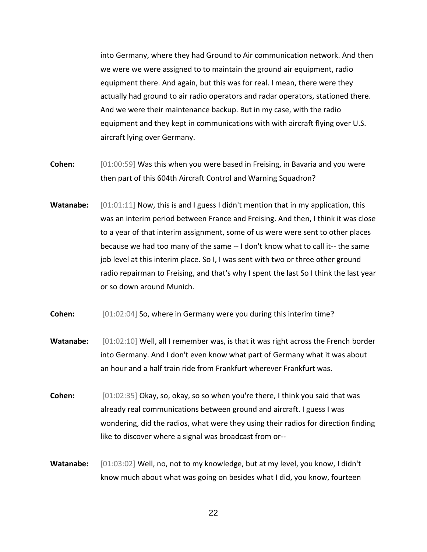into Germany, where they had Ground to Air communication network. And then we were we were assigned to to maintain the ground air equipment, radio equipment there. And again, but this was for real. I mean, there were they actually had ground to air radio operators and radar operators, stationed there. And we were their maintenance backup. But in my case, with the radio equipment and they kept in communications with with aircraft flying over U.S. aircraft lying over Germany.

- **Cohen:** [01:00:59] Was this when you were based in Freising, in Bavaria and you were then part of this 604th Aircraft Control and Warning Squadron?
- Watanabe: [01:01:11] Now, this is and I guess I didn't mention that in my application, this was an interim period between France and Freising. And then, I think it was close to a year of that interim assignment, some of us were were sent to other places because we had too many of the same -- I don't know what to call it-- the same job level at this interim place. So I, I was sent with two or three other ground radio repairman to Freising, and that's why I spent the last So I think the last year or so down around Munich.
- **Cohen:** [01:02:04] So, where in Germany were you during this interim time?
- Watanabe: [01:02:10] Well, all I remember was, is that it was right across the French border into Germany. And I don't even know what part of Germany what it was about an hour and a half train ride from Frankfurt wherever Frankfurt was.
- **Cohen:** [01:02:35] Okay, so, okay, so so when you're there, I think you said that was already real communications between ground and aircraft. I guess I was wondering, did the radios, what were they using their radios for direction finding like to discover where a signal was broadcast from or--
- **Watanabe:** [01:03:02] Well, no, not to my knowledge, but at my level, you know, I didn't know much about what was going on besides what I did, you know, fourteen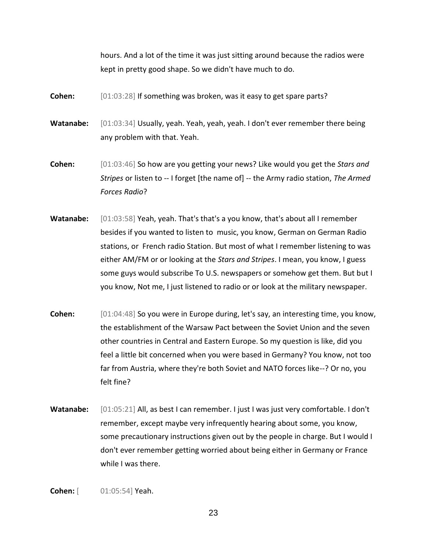hours. And a lot of the time it was just sitting around because the radios were kept in pretty good shape. So we didn't have much to do.

- **Cohen:**  $[01:03:28]$  If something was broken, was it easy to get spare parts?
- **Watanabe:** [01:03:34] Usually, yeah. Yeah, yeah, yeah. I don't ever remember there being any problem with that. Yeah.
- **Cohen:** [01:03:46] So how are you getting your news? Like would you get the *Stars and Stripes* or listen to -- I forget [the name of] -- the Army radio station, *The Armed Forces Radio*?
- **Watanabe:** [01:03:58] Yeah, yeah. That's that's a you know, that's about all I remember besides if you wanted to listen to music, you know, German on German Radio stations, or French radio Station. But most of what I remember listening to was either AM/FM or or looking at the *Stars and Stripes*. I mean, you know, I guess some guys would subscribe To U.S. newspapers or somehow get them. But but I you know, Not me, I just listened to radio or or look at the military newspaper.
- **Cohen:** [01:04:48] So you were in Europe during, let's say, an interesting time, you know, the establishment of the Warsaw Pact between the Soviet Union and the seven other countries in Central and Eastern Europe. So my question is like, did you feel a little bit concerned when you were based in Germany? You know, not too far from Austria, where they're both Soviet and NATO forces like--? Or no, you felt fine?
- **Watanabe:** [01:05:21] All, as best I can remember. I just I was just very comfortable. I don't remember, except maybe very infrequently hearing about some, you know, some precautionary instructions given out by the people in charge. But I would I don't ever remember getting worried about being either in Germany or France while I was there.
- **Cohen:** [ 01:05:54] Yeah.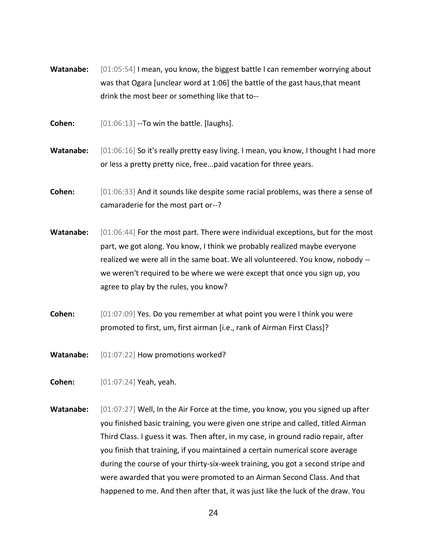- Watanabe: [01:05:54] I mean, you know, the biggest battle I can remember worrying about was that Ogara [unclear word at 1:06] the battle of the gast haus,that meant drink the most beer or something like that to--
- **Cohen:** [01:06:13] --To win the battle. [laughs].
- **Watanabe:** [01:06:16] So it's really pretty easy living. I mean, you know, I thought I had more or less a pretty pretty nice, free...paid vacation for three years.
- **Cohen:** [01:06:33] And it sounds like despite some racial problems, was there a sense of camaraderie for the most part or--?
- **Watanabe:** [01:06:44] For the most part. There were individual exceptions, but for the most part, we got along. You know, I think we probably realized maybe everyone realized we were all in the same boat. We all volunteered. You know, nobody - we weren't required to be where we were except that once you sign up, you agree to play by the rules, you know?
- **Cohen:** [01:07:09] Yes. Do you remember at what point you were I think you were promoted to first, um, first airman [i.e., rank of Airman First Class]?
- **Watanabe:** [01:07:22] How promotions worked?
- **Cohen:** [01:07:24] Yeah, yeah.
- **Watanabe:** [01:07:27] Well, In the Air Force at the time, you know, you you signed up after you finished basic training, you were given one stripe and called, titled Airman Third Class. I guess it was. Then after, in my case, in ground radio repair, after you finish that training, if you maintained a certain numerical score average during the course of your thirty-six-week training, you got a second stripe and were awarded that you were promoted to an Airman Second Class. And that happened to me. And then after that, it was just like the luck of the draw. You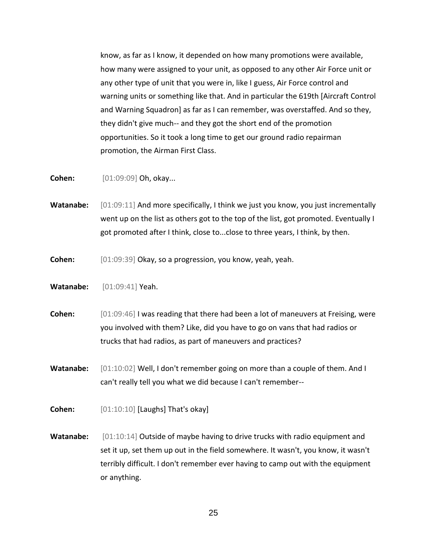know, as far as I know, it depended on how many promotions were available, how many were assigned to your unit, as opposed to any other Air Force unit or any other type of unit that you were in, like I guess, Air Force control and warning units or something like that. And in particular the 619th [Aircraft Control and Warning Squadron] as far as I can remember, was overstaffed. And so they, they didn't give much-- and they got the short end of the promotion opportunities. So it took a long time to get our ground radio repairman promotion, the Airman First Class.

**Cohen:** [01:09:09] Oh, okay...

**Watanabe:** [01:09:11] And more specifically, I think we just you know, you just incrementally went up on the list as others got to the top of the list, got promoted. Eventually I got promoted after I think, close to...close to three years, I think, by then.

**Cohen:** [01:09:39] Okay, so a progression, you know, yeah, yeah.

**Watanabe:** [01:09:41] Yeah.

**Cohen:** [01:09:46] I was reading that there had been a lot of maneuvers at Freising, were you involved with them? Like, did you have to go on vans that had radios or trucks that had radios, as part of maneuvers and practices?

**Watanabe:** [01:10:02] Well, I don't remember going on more than a couple of them. And I can't really tell you what we did because I can't remember--

**Cohen:** [01:10:10] [Laughs] That's okay]

**Watanabe:** [01:10:14] Outside of maybe having to drive trucks with radio equipment and set it up, set them up out in the field somewhere. It wasn't, you know, it wasn't terribly difficult. I don't remember ever having to camp out with the equipment or anything.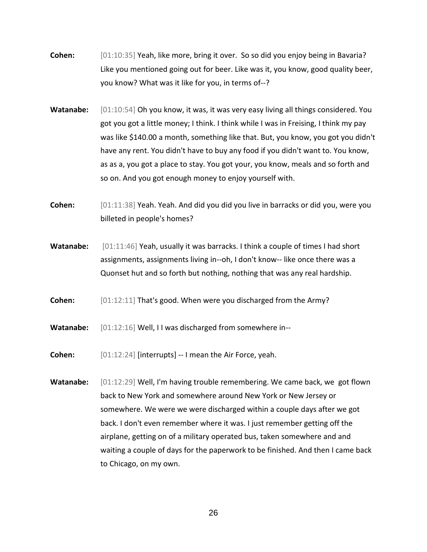- **Cohen:** [01:10:35] Yeah, like more, bring it over. So so did you enjoy being in Bavaria? Like you mentioned going out for beer. Like was it, you know, good quality beer, you know? What was it like for you, in terms of--?
- Watanabe: [01:10:54] Oh you know, it was, it was very easy living all things considered. You got you got a little money; I think. I think while I was in Freising, I think my pay was like \$140.00 a month, something like that. But, you know, you got you didn't have any rent. You didn't have to buy any food if you didn't want to. You know, as as a, you got a place to stay. You got your, you know, meals and so forth and so on. And you got enough money to enjoy yourself with.
- **Cohen:** [01:11:38] Yeah. Yeah. And did you did you live in barracks or did you, were you billeted in people's homes?
- **Watanabe:** [01:11:46] Yeah, usually it was barracks. I think a couple of times I had short assignments, assignments living in--oh, I don't know-- like once there was a Quonset hut and so forth but nothing, nothing that was any real hardship.
- **Cohen:** [01:12:11] That's good. When were you discharged from the Army?
- **Watanabe:** [01:12:16] Well, I I was discharged from somewhere in--
- **Cohen:** [01:12:24] [interrupts] -- I mean the Air Force, yeah.
- **Watanabe:** [01:12:29] Well, I'm having trouble remembering. We came back, we got flown back to New York and somewhere around New York or New Jersey or somewhere. We were we were discharged within a couple days after we got back. I don't even remember where it was. I just remember getting off the airplane, getting on of a military operated bus, taken somewhere and and waiting a couple of days for the paperwork to be finished. And then I came back to Chicago, on my own.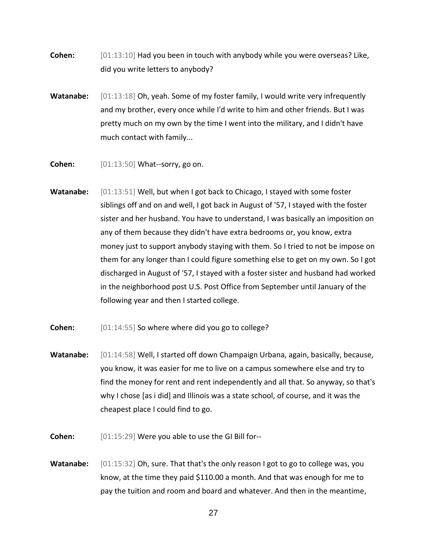- **Cohen:** [01:13:10] Had you been in touch with anybody while you were overseas? Like, did you write letters to anybody?
- **Watanabe:** [01:13:18] Oh, yeah. Some of my foster family, I would write very infrequently and my brother, every once while I'd write to him and other friends. But I was pretty much on my own by the time I went into the military, and I didn't have much contact with family...
- **Cohen:** [01:13:50] What--sorry, go on.
- **Watanabe:** [01:13:51] Well, but when I got back to Chicago, I stayed with some foster siblings off and on and well, I got back in August of '57, I stayed with the foster sister and her husband. You have to understand, I was basically an imposition on any of them because they didn't have extra bedrooms or, you know, extra money just to support anybody staying with them. So I tried to not be impose on them for any longer than I could figure something else to get on my own. So I got discharged in August of '57, I stayed with a foster sister and husband had worked in the neighborhood post U.S. Post Office from September until January of the following year and then I started college.
- **Cohen:**  $[01:14:55]$  So where where did you go to college?
- **Watanabe:** [01:14:58] Well, I started off down Champaign Urbana, again, basically, because, you know, it was easier for me to live on a campus somewhere else and try to find the money for rent and rent independently and all that. So anyway, so that's why I chose [as i did] and Illinois was a state school, of course, and it was the cheapest place I could find to go.
- **Cohen:** [01:15:29] Were you able to use the GI Bill for--
- Watanabe: [01:15:32] Oh, sure. That that's the only reason I got to go to college was, you know, at the time they paid \$110.00 a month. And that was enough for me to pay the tuition and room and board and whatever. And then in the meantime,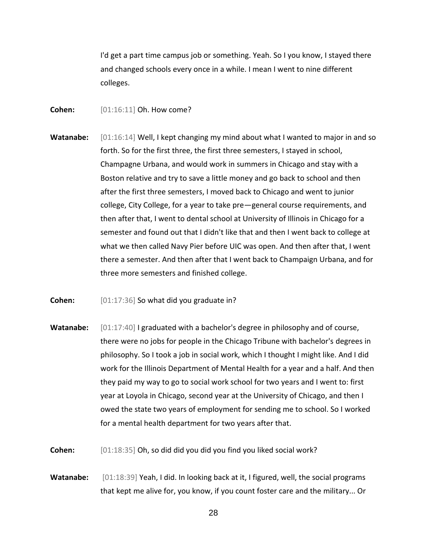I'd get a part time campus job or something. Yeah. So I you know, I stayed there and changed schools every once in a while. I mean I went to nine different colleges.

- **Cohen:** [01:16:11] Oh. How come?
- **Watanabe:** [01:16:14] Well, I kept changing my mind about what I wanted to major in and so forth. So for the first three, the first three semesters, I stayed in school, Champagne Urbana, and would work in summers in Chicago and stay with a Boston relative and try to save a little money and go back to school and then after the first three semesters, I moved back to Chicago and went to junior college, City College, for a year to take pre—general course requirements, and then after that, I went to dental school at University of Illinois in Chicago for a semester and found out that I didn't like that and then I went back to college at what we then called Navy Pier before UIC was open. And then after that, I went there a semester. And then after that I went back to Champaign Urbana, and for three more semesters and finished college.
- **Cohen:** [01:17:36] So what did you graduate in?
- **Watanabe:**  $[01:17:40]$  I graduated with a bachelor's degree in philosophy and of course, there were no jobs for people in the Chicago Tribune with bachelor's degrees in philosophy. So I took a job in social work, which I thought I might like. And I did work for the Illinois Department of Mental Health for a year and a half. And then they paid my way to go to social work school for two years and I went to: first year at Loyola in Chicago, second year at the University of Chicago, and then I owed the state two years of employment for sending me to school. So I worked for a mental health department for two years after that.
- **Cohen:** [01:18:35] Oh, so did did you did you find you liked social work?
- **Watanabe:** [01:18:39] Yeah, I did. In looking back at it, I figured, well, the social programs that kept me alive for, you know, if you count foster care and the military... Or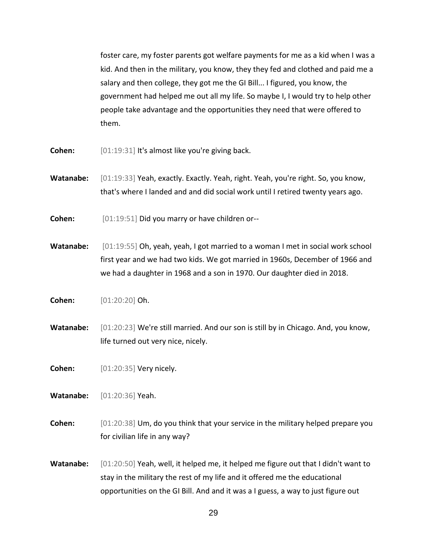foster care, my foster parents got welfare payments for me as a kid when I was a kid. And then in the military, you know, they they fed and clothed and paid me a salary and then college, they got me the GI Bill... I figured, you know, the government had helped me out all my life. So maybe I, I would try to help other people take advantage and the opportunities they need that were offered to them.

- **Cohen:** [01:19:31] It's almost like you're giving back.
- **Watanabe:** [01:19:33] Yeah, exactly. Exactly. Yeah, right. Yeah, you're right. So, you know, that's where I landed and and did social work until I retired twenty years ago.
- **Cohen:** [01:19:51] Did you marry or have children or--
- **Watanabe:** [01:19:55] Oh, yeah, yeah, I got married to a woman I met in social work school first year and we had two kids. We got married in 1960s, December of 1966 and we had a daughter in 1968 and a son in 1970. Our daughter died in 2018.
- **Cohen:** [01:20:20] Oh.
- **Watanabe:** [01:20:23] We're still married. And our son is still by in Chicago. And, you know, life turned out very nice, nicely.
- **Cohen:** [01:20:35] Very nicely.
- **Watanabe:** [01:20:36] Yeah.
- **Cohen:** [01:20:38] Um, do you think that your service in the military helped prepare you for civilian life in any way?
- **Watanabe:** [01:20:50] Yeah, well, it helped me, it helped me figure out that I didn't want to stay in the military the rest of my life and it offered me the educational opportunities on the GI Bill. And and it was a I guess, a way to just figure out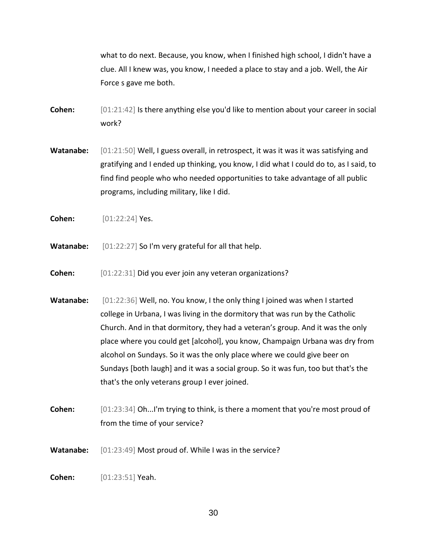what to do next. Because, you know, when I finished high school, I didn't have a clue. All I knew was, you know, I needed a place to stay and a job. Well, the Air Force s gave me both.

- **Cohen:**  $[01:21:42]$  Is there anything else you'd like to mention about your career in social work?
- Watanabe: [01:21:50] Well, I guess overall, in retrospect, it was it was it was satisfying and gratifying and I ended up thinking, you know, I did what I could do to, as I said, to find find people who who needed opportunities to take advantage of all public programs, including military, like I did.
- **Cohen:** [01:22:24] Yes.
- **Watanabe:** [01:22:27] So I'm very grateful for all that help.
- **Cohen:** [01:22:31] Did you ever join any veteran organizations?
- Watanabe: [01:22:36] Well, no. You know, I the only thing I joined was when I started college in Urbana, I was living in the dormitory that was run by the Catholic Church. And in that dormitory, they had a veteran's group. And it was the only place where you could get [alcohol], you know, Champaign Urbana was dry from alcohol on Sundays. So it was the only place where we could give beer on Sundays [both laugh] and it was a social group. So it was fun, too but that's the that's the only veterans group I ever joined.
- **Cohen:** [01:23:34] Oh...I'm trying to think, is there a moment that you're most proud of from the time of your service?
- **Watanabe:** [01:23:49] Most proud of. While I was in the service?
- **Cohen:** [01:23:51] Yeah.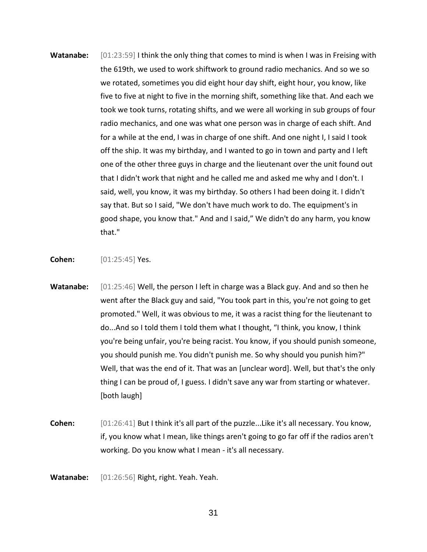**Watanabe:** [01:23:59] I think the only thing that comes to mind is when I was in Freising with the 619th, we used to work shiftwork to ground radio mechanics. And so we so we rotated, sometimes you did eight hour day shift, eight hour, you know, like five to five at night to five in the morning shift, something like that. And each we took we took turns, rotating shifts, and we were all working in sub groups of four radio mechanics, and one was what one person was in charge of each shift. And for a while at the end, I was in charge of one shift. And one night I, I said I took off the ship. It was my birthday, and I wanted to go in town and party and I left one of the other three guys in charge and the lieutenant over the unit found out that I didn't work that night and he called me and asked me why and I don't. I said, well, you know, it was my birthday. So others I had been doing it. I didn't say that. But so I said, "We don't have much work to do. The equipment's in good shape, you know that." And and I said," We didn't do any harm, you know that."

**Cohen:** [01:25:45] Yes.

- **Watanabe:** [01:25:46] Well, the person I left in charge was a Black guy. And and so then he went after the Black guy and said, "You took part in this, you're not going to get promoted." Well, it was obvious to me, it was a racist thing for the lieutenant to do...And so I told them I told them what I thought, "I think, you know, I think you're being unfair, you're being racist. You know, if you should punish someone, you should punish me. You didn't punish me. So why should you punish him?" Well, that was the end of it. That was an [unclear word]. Well, but that's the only thing I can be proud of, I guess. I didn't save any war from starting or whatever. [both laugh]
- **Cohen:** [01:26:41] But I think it's all part of the puzzle...Like it's all necessary. You know, if, you know what I mean, like things aren't going to go far off if the radios aren't working. Do you know what I mean - it's all necessary.

**Watanabe:** [01:26:56] Right, right. Yeah. Yeah.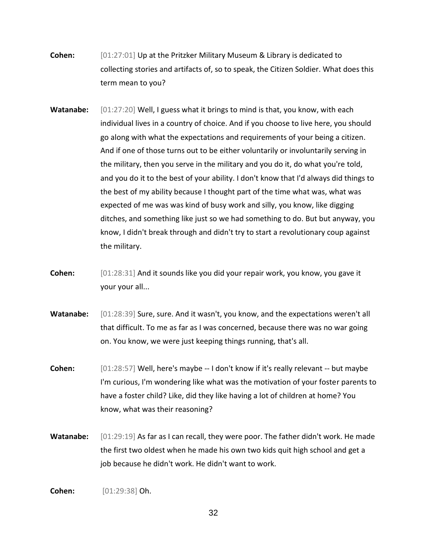- **Cohen:** [01:27:01] Up at the Pritzker Military Museum & Library is dedicated to collecting stories and artifacts of, so to speak, the Citizen Soldier. What does this term mean to you?
- **Watanabe:** [01:27:20] Well, I guess what it brings to mind is that, you know, with each individual lives in a country of choice. And if you choose to live here, you should go along with what the expectations and requirements of your being a citizen. And if one of those turns out to be either voluntarily or involuntarily serving in the military, then you serve in the military and you do it, do what you're told, and you do it to the best of your ability. I don't know that I'd always did things to the best of my ability because I thought part of the time what was, what was expected of me was was kind of busy work and silly, you know, like digging ditches, and something like just so we had something to do. But but anyway, you know, I didn't break through and didn't try to start a revolutionary coup against the military.
- **Cohen:** [01:28:31] And it sounds like you did your repair work, you know, you gave it your your all...
- Watanabe: [01:28:39] Sure, sure. And it wasn't, you know, and the expectations weren't all that difficult. To me as far as I was concerned, because there was no war going on. You know, we were just keeping things running, that's all.
- **Cohen:** [01:28:57] Well, here's maybe -- I don't know if it's really relevant -- but maybe I'm curious, I'm wondering like what was the motivation of your foster parents to have a foster child? Like, did they like having a lot of children at home? You know, what was their reasoning?
- Watanabe: [01:29:19] As far as I can recall, they were poor. The father didn't work. He made the first two oldest when he made his own two kids quit high school and get a job because he didn't work. He didn't want to work.

**Cohen:** [01:29:38] Oh.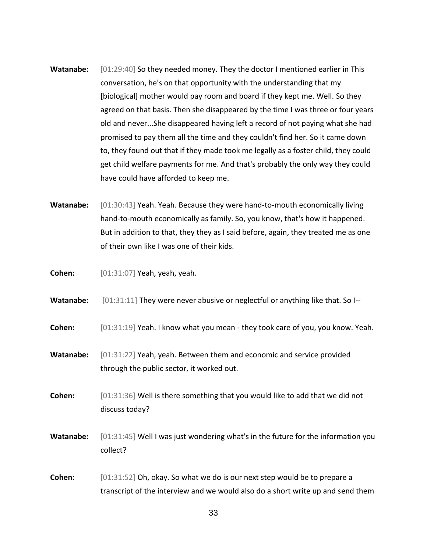- Watanabe: [01:29:40] So they needed money. They the doctor I mentioned earlier in This conversation, he's on that opportunity with the understanding that my [biological] mother would pay room and board if they kept me. Well. So they agreed on that basis. Then she disappeared by the time I was three or four years old and never...She disappeared having left a record of not paying what she had promised to pay them all the time and they couldn't find her. So it came down to, they found out that if they made took me legally as a foster child, they could get child welfare payments for me. And that's probably the only way they could have could have afforded to keep me.
- **Watanabe:** [01:30:43] Yeah. Yeah. Because they were hand-to-mouth economically living hand-to-mouth economically as family. So, you know, that's how it happened. But in addition to that, they they as I said before, again, they treated me as one of their own like I was one of their kids.

**Cohen:** [01:31:07] Yeah, yeah, yeah.

**Watanabe:** [01:31:11] They were never abusive or neglectful or anything like that. So I--

**Cohen:** [01:31:19] Yeah. I know what you mean - they took care of you, you know. Yeah.

**Watanabe:** [01:31:22] Yeah, yeah. Between them and economic and service provided through the public sector, it worked out.

**Cohen:** [01:31:36] Well is there something that you would like to add that we did not discuss today?

**Watanabe:** [01:31:45] Well I was just wondering what's in the future for the information you collect?

**Cohen:** [01:31:52] Oh, okay. So what we do is our next step would be to prepare a transcript of the interview and we would also do a short write up and send them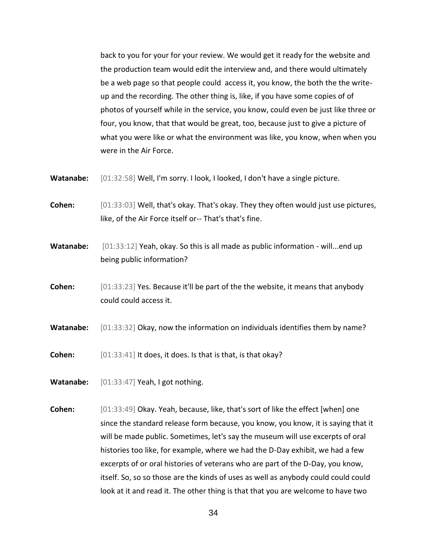back to you for your for your review. We would get it ready for the website and the production team would edit the interview and, and there would ultimately be a web page so that people could access it, you know, the both the the writeup and the recording. The other thing is, like, if you have some copies of of photos of yourself while in the service, you know, could even be just like three or four, you know, that that would be great, too, because just to give a picture of what you were like or what the environment was like, you know, when when you were in the Air Force.

- **Watanabe:** [01:32:58] Well, I'm sorry. I look, I looked, I don't have a single picture.
- **Cohen:** [01:33:03] Well, that's okay. That's okay. They they often would just use pictures, like, of the Air Force itself or-- That's that's fine.
- **Watanabe:** [01:33:12] Yeah, okay. So this is all made as public information will...end up being public information?
- **Cohen:** [01:33:23] Yes. Because it'll be part of the the website, it means that anybody could could access it.
- **Watanabe:** [01:33:32] Okay, now the information on individuals identifies them by name?
- **Cohen:** [01:33:41] It does, it does. Is that is that, is that okay?
- **Watanabe:** [01:33:47] Yeah, I got nothing.
- **Cohen:** [01:33:49] Okay. Yeah, because, like, that's sort of like the effect [when] one since the standard release form because, you know, you know, it is saying that it will be made public. Sometimes, let's say the museum will use excerpts of oral histories too like, for example, where we had the D-Day exhibit, we had a few excerpts of or oral histories of veterans who are part of the D-Day, you know, itself. So, so so those are the kinds of uses as well as anybody could could could look at it and read it. The other thing is that that you are welcome to have two